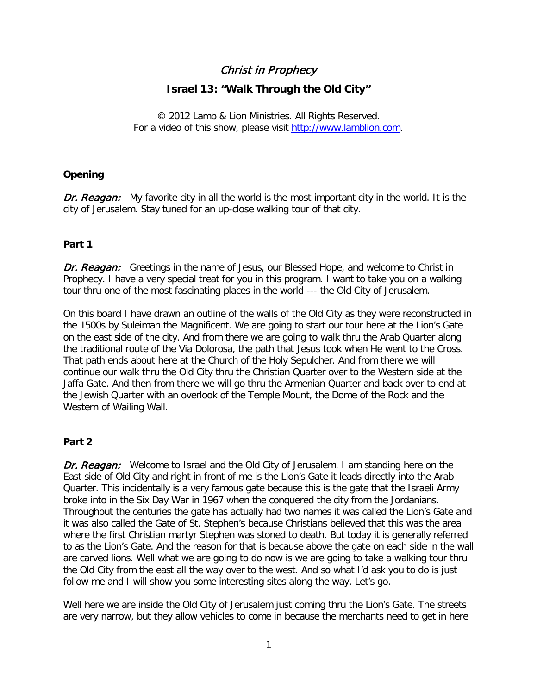# Christ in Prophecy

## **Israel 13: "Walk Through the Old City"**

© 2012 Lamb & Lion Ministries. All Rights Reserved. For a video of this show, please visit [http://www.lamblion.com.](http://www.lamblion.com/)

## **Opening**

Dr. Reagan: My favorite city in all the world is the most important city in the world. It is the city of Jerusalem. Stay tuned for an up-close walking tour of that city.

## **Part 1**

**Dr. Reagan:** Greetings in the name of Jesus, our Blessed Hope, and welcome to Christ in Prophecy. I have a very special treat for you in this program. I want to take you on a walking tour thru one of the most fascinating places in the world --- the Old City of Jerusalem.

On this board I have drawn an outline of the walls of the Old City as they were reconstructed in the 1500s by Suleiman the Magnificent. We are going to start our tour here at the Lion's Gate on the east side of the city. And from there we are going to walk thru the Arab Quarter along the traditional route of the Via Dolorosa, the path that Jesus took when He went to the Cross. That path ends about here at the Church of the Holy Sepulcher. And from there we will continue our walk thru the Old City thru the Christian Quarter over to the Western side at the Jaffa Gate. And then from there we will go thru the Armenian Quarter and back over to end at the Jewish Quarter with an overlook of the Temple Mount, the Dome of the Rock and the Western of Wailing Wall.

#### **Part 2**

Dr. Reagan: Welcome to Israel and the Old City of Jerusalem. I am standing here on the East side of Old City and right in front of me is the Lion's Gate it leads directly into the Arab Quarter. This incidentally is a very famous gate because this is the gate that the Israeli Army broke into in the Six Day War in 1967 when the conquered the city from the Jordanians. Throughout the centuries the gate has actually had two names it was called the Lion's Gate and it was also called the Gate of St. Stephen's because Christians believed that this was the area where the first Christian martyr Stephen was stoned to death. But today it is generally referred to as the Lion's Gate. And the reason for that is because above the gate on each side in the wall are carved lions. Well what we are going to do now is we are going to take a walking tour thru the Old City from the east all the way over to the west. And so what I'd ask you to do is just follow me and I will show you some interesting sites along the way. Let's go.

Well here we are inside the Old City of Jerusalem just coming thru the Lion's Gate. The streets are very narrow, but they allow vehicles to come in because the merchants need to get in here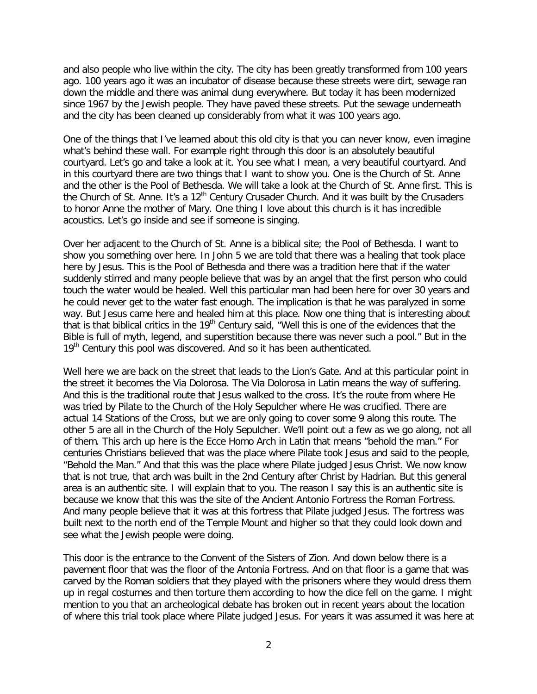and also people who live within the city. The city has been greatly transformed from 100 years ago. 100 years ago it was an incubator of disease because these streets were dirt, sewage ran down the middle and there was animal dung everywhere. But today it has been modernized since 1967 by the Jewish people. They have paved these streets. Put the sewage underneath and the city has been cleaned up considerably from what it was 100 years ago.

One of the things that I've learned about this old city is that you can never know, even imagine what's behind these wall. For example right through this door is an absolutely beautiful courtyard. Let's go and take a look at it. You see what I mean, a very beautiful courtyard. And in this courtyard there are two things that I want to show you. One is the Church of St. Anne and the other is the Pool of Bethesda. We will take a look at the Church of St. Anne first. This is the Church of St. Anne. It's a  $12<sup>th</sup>$  Century Crusader Church. And it was built by the Crusaders to honor Anne the mother of Mary. One thing I love about this church is it has incredible acoustics. Let's go inside and see if someone is singing.

Over her adjacent to the Church of St. Anne is a biblical site; the Pool of Bethesda. I want to show you something over here. In John 5 we are told that there was a healing that took place here by Jesus. This is the Pool of Bethesda and there was a tradition here that if the water suddenly stirred and many people believe that was by an angel that the first person who could touch the water would be healed. Well this particular man had been here for over 30 years and he could never get to the water fast enough. The implication is that he was paralyzed in some way. But Jesus came here and healed him at this place. Now one thing that is interesting about that is that biblical critics in the 19<sup>th</sup> Century said, "Well this is one of the evidences that the Bible is full of myth, legend, and superstition because there was never such a pool." But in the 19<sup>th</sup> Century this pool was discovered. And so it has been authenticated.

Well here we are back on the street that leads to the Lion's Gate. And at this particular point in the street it becomes the Via Dolorosa. The Via Dolorosa in Latin means the way of suffering. And this is the traditional route that Jesus walked to the cross. It's the route from where He was tried by Pilate to the Church of the Holy Sepulcher where He was crucified. There are actual 14 Stations of the Cross, but we are only going to cover some 9 along this route. The other 5 are all in the Church of the Holy Sepulcher. We'll point out a few as we go along, not all of them. This arch up here is the Ecce Homo Arch in Latin that means "behold the man." For centuries Christians believed that was the place where Pilate took Jesus and said to the people, "Behold the Man." And that this was the place where Pilate judged Jesus Christ. We now know that is not true, that arch was built in the 2nd Century after Christ by Hadrian. But this general area is an authentic site. I will explain that to you. The reason I say this is an authentic site is because we know that this was the site of the Ancient Antonio Fortress the Roman Fortress. And many people believe that it was at this fortress that Pilate judged Jesus. The fortress was built next to the north end of the Temple Mount and higher so that they could look down and see what the Jewish people were doing.

This door is the entrance to the Convent of the Sisters of Zion. And down below there is a pavement floor that was the floor of the Antonia Fortress. And on that floor is a game that was carved by the Roman soldiers that they played with the prisoners where they would dress them up in regal costumes and then torture them according to how the dice fell on the game. I might mention to you that an archeological debate has broken out in recent years about the location of where this trial took place where Pilate judged Jesus. For years it was assumed it was here at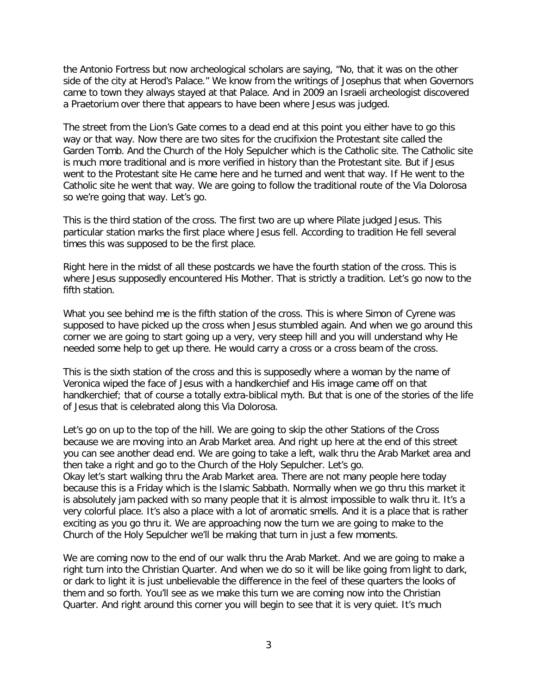the Antonio Fortress but now archeological scholars are saying, "No, that it was on the other side of the city at Herod's Palace." We know from the writings of Josephus that when Governors came to town they always stayed at that Palace. And in 2009 an Israeli archeologist discovered a Praetorium over there that appears to have been where Jesus was judged.

The street from the Lion's Gate comes to a dead end at this point you either have to go this way or that way. Now there are two sites for the crucifixion the Protestant site called the Garden Tomb. And the Church of the Holy Sepulcher which is the Catholic site. The Catholic site is much more traditional and is more verified in history than the Protestant site. But if Jesus went to the Protestant site He came here and he turned and went that way. If He went to the Catholic site he went that way. We are going to follow the traditional route of the Via Dolorosa so we're going that way. Let's go.

This is the third station of the cross. The first two are up where Pilate judged Jesus. This particular station marks the first place where Jesus fell. According to tradition He fell several times this was supposed to be the first place.

Right here in the midst of all these postcards we have the fourth station of the cross. This is where Jesus supposedly encountered His Mother. That is strictly a tradition. Let's go now to the fifth station.

What you see behind me is the fifth station of the cross. This is where Simon of Cyrene was supposed to have picked up the cross when Jesus stumbled again. And when we go around this corner we are going to start going up a very, very steep hill and you will understand why He needed some help to get up there. He would carry a cross or a cross beam of the cross.

This is the sixth station of the cross and this is supposedly where a woman by the name of Veronica wiped the face of Jesus with a handkerchief and His image came off on that handkerchief; that of course a totally extra-biblical myth. But that is one of the stories of the life of Jesus that is celebrated along this Via Dolorosa.

Let's go on up to the top of the hill. We are going to skip the other Stations of the Cross because we are moving into an Arab Market area. And right up here at the end of this street you can see another dead end. We are going to take a left, walk thru the Arab Market area and then take a right and go to the Church of the Holy Sepulcher. Let's go.

Okay let's start walking thru the Arab Market area. There are not many people here today because this is a Friday which is the Islamic Sabbath. Normally when we go thru this market it is absolutely jam packed with so many people that it is almost impossible to walk thru it. It's a very colorful place. It's also a place with a lot of aromatic smells. And it is a place that is rather exciting as you go thru it. We are approaching now the turn we are going to make to the Church of the Holy Sepulcher we'll be making that turn in just a few moments.

We are coming now to the end of our walk thru the Arab Market. And we are going to make a right turn into the Christian Quarter. And when we do so it will be like going from light to dark, or dark to light it is just unbelievable the difference in the feel of these quarters the looks of them and so forth. You'll see as we make this turn we are coming now into the Christian Quarter. And right around this corner you will begin to see that it is very quiet. It's much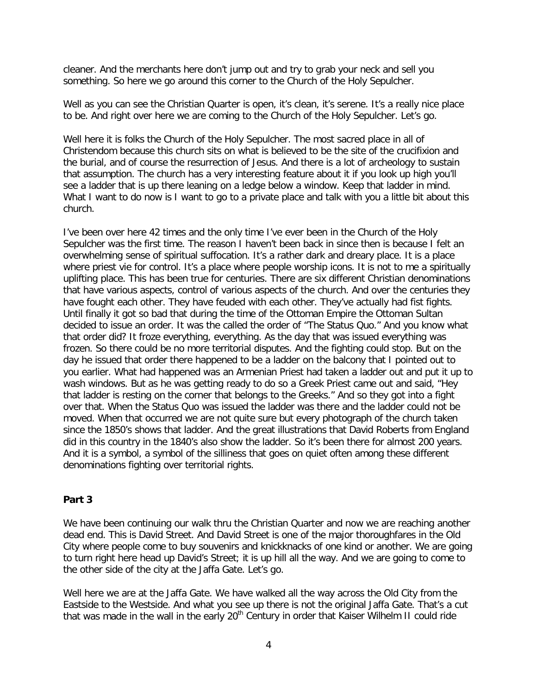cleaner. And the merchants here don't jump out and try to grab your neck and sell you something. So here we go around this corner to the Church of the Holy Sepulcher.

Well as you can see the Christian Quarter is open, it's clean, it's serene. It's a really nice place to be. And right over here we are coming to the Church of the Holy Sepulcher. Let's go.

Well here it is folks the Church of the Holy Sepulcher. The most sacred place in all of Christendom because this church sits on what is believed to be the site of the crucifixion and the burial, and of course the resurrection of Jesus. And there is a lot of archeology to sustain that assumption. The church has a very interesting feature about it if you look up high you'll see a ladder that is up there leaning on a ledge below a window. Keep that ladder in mind. What I want to do now is I want to go to a private place and talk with you a little bit about this church.

I've been over here 42 times and the only time I've ever been in the Church of the Holy Sepulcher was the first time. The reason I haven't been back in since then is because I felt an overwhelming sense of spiritual suffocation. It's a rather dark and dreary place. It is a place where priest vie for control. It's a place where people worship icons. It is not to me a spiritually uplifting place. This has been true for centuries. There are six different Christian denominations that have various aspects, control of various aspects of the church. And over the centuries they have fought each other. They have feuded with each other. They've actually had fist fights. Until finally it got so bad that during the time of the Ottoman Empire the Ottoman Sultan decided to issue an order. It was the called the order of "The Status Quo." And you know what that order did? It froze everything, everything. As the day that was issued everything was frozen. So there could be no more territorial disputes. And the fighting could stop. But on the day he issued that order there happened to be a ladder on the balcony that I pointed out to you earlier. What had happened was an Armenian Priest had taken a ladder out and put it up to wash windows. But as he was getting ready to do so a Greek Priest came out and said, "Hey that ladder is resting on the corner that belongs to the Greeks." And so they got into a fight over that. When the Status Quo was issued the ladder was there and the ladder could not be moved. When that occurred we are not quite sure but every photograph of the church taken since the 1850's shows that ladder. And the great illustrations that David Roberts from England did in this country in the 1840's also show the ladder. So it's been there for almost 200 years. And it is a symbol, a symbol of the silliness that goes on quiet often among these different denominations fighting over territorial rights.

#### **Part 3**

We have been continuing our walk thru the Christian Quarter and now we are reaching another dead end. This is David Street. And David Street is one of the major thoroughfares in the Old City where people come to buy souvenirs and knickknacks of one kind or another. We are going to turn right here head up David's Street; it is up hill all the way. And we are going to come to the other side of the city at the Jaffa Gate. Let's go.

Well here we are at the Jaffa Gate. We have walked all the way across the Old City from the Eastside to the Westside. And what you see up there is not the original Jaffa Gate. That's a cut that was made in the wall in the early 20<sup>th</sup> Century in order that Kaiser Wilhelm II could ride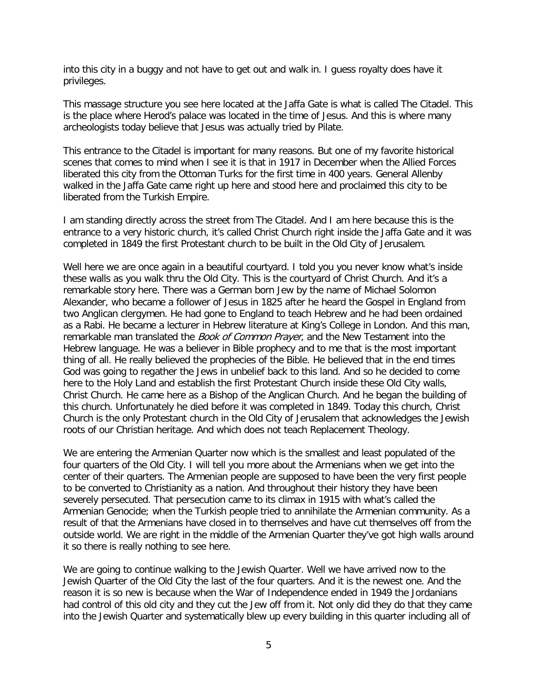into this city in a buggy and not have to get out and walk in. I guess royalty does have it privileges.

This massage structure you see here located at the Jaffa Gate is what is called The Citadel. This is the place where Herod's palace was located in the time of Jesus. And this is where many archeologists today believe that Jesus was actually tried by Pilate.

This entrance to the Citadel is important for many reasons. But one of my favorite historical scenes that comes to mind when I see it is that in 1917 in December when the Allied Forces liberated this city from the Ottoman Turks for the first time in 400 years. General Allenby walked in the Jaffa Gate came right up here and stood here and proclaimed this city to be liberated from the Turkish Empire.

I am standing directly across the street from The Citadel. And I am here because this is the entrance to a very historic church, it's called Christ Church right inside the Jaffa Gate and it was completed in 1849 the first Protestant church to be built in the Old City of Jerusalem.

Well here we are once again in a beautiful courtyard. I told you you never know what's inside these walls as you walk thru the Old City. This is the courtyard of Christ Church. And it's a remarkable story here. There was a German born Jew by the name of Michael Solomon Alexander, who became a follower of Jesus in 1825 after he heard the Gospel in England from two Anglican clergymen. He had gone to England to teach Hebrew and he had been ordained as a Rabi. He became a lecturer in Hebrew literature at King's College in London. And this man, remarkable man translated the *Book of Common Prayer*, and the New Testament into the Hebrew language. He was a believer in Bible prophecy and to me that is the most important thing of all. He really believed the prophecies of the Bible. He believed that in the end times God was going to regather the Jews in unbelief back to this land. And so he decided to come here to the Holy Land and establish the first Protestant Church inside these Old City walls, Christ Church. He came here as a Bishop of the Anglican Church. And he began the building of this church. Unfortunately he died before it was completed in 1849. Today this church, Christ Church is the only Protestant church in the Old City of Jerusalem that acknowledges the Jewish roots of our Christian heritage. And which does not teach Replacement Theology.

We are entering the Armenian Quarter now which is the smallest and least populated of the four quarters of the Old City. I will tell you more about the Armenians when we get into the center of their quarters. The Armenian people are supposed to have been the very first people to be converted to Christianity as a nation. And throughout their history they have been severely persecuted. That persecution came to its climax in 1915 with what's called the Armenian Genocide; when the Turkish people tried to annihilate the Armenian community. As a result of that the Armenians have closed in to themselves and have cut themselves off from the outside world. We are right in the middle of the Armenian Quarter they've got high walls around it so there is really nothing to see here.

We are going to continue walking to the Jewish Quarter. Well we have arrived now to the Jewish Quarter of the Old City the last of the four quarters. And it is the newest one. And the reason it is so new is because when the War of Independence ended in 1949 the Jordanians had control of this old city and they cut the Jew off from it. Not only did they do that they came into the Jewish Quarter and systematically blew up every building in this quarter including all of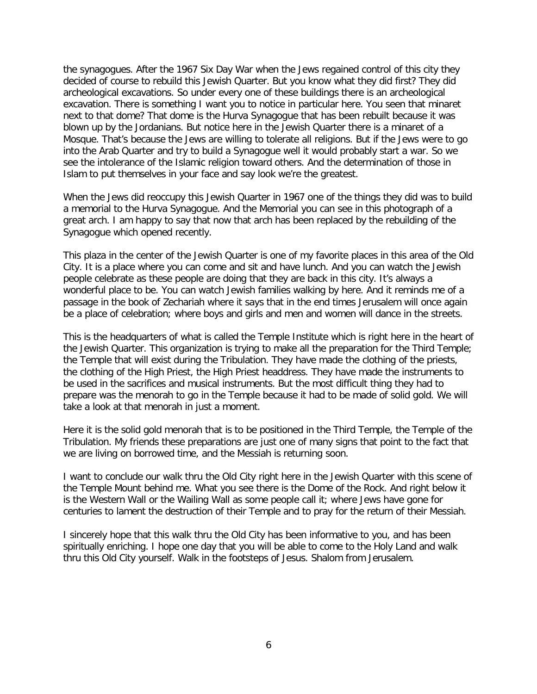the synagogues. After the 1967 Six Day War when the Jews regained control of this city they decided of course to rebuild this Jewish Quarter. But you know what they did first? They did archeological excavations. So under every one of these buildings there is an archeological excavation. There is something I want you to notice in particular here. You seen that minaret next to that dome? That dome is the Hurva Synagogue that has been rebuilt because it was blown up by the Jordanians. But notice here in the Jewish Quarter there is a minaret of a Mosque. That's because the Jews are willing to tolerate all religions. But if the Jews were to go into the Arab Quarter and try to build a Synagogue well it would probably start a war. So we see the intolerance of the Islamic religion toward others. And the determination of those in Islam to put themselves in your face and say look we're the greatest.

When the Jews did reoccupy this Jewish Quarter in 1967 one of the things they did was to build a memorial to the Hurva Synagogue. And the Memorial you can see in this photograph of a great arch. I am happy to say that now that arch has been replaced by the rebuilding of the Synagogue which opened recently.

This plaza in the center of the Jewish Quarter is one of my favorite places in this area of the Old City. It is a place where you can come and sit and have lunch. And you can watch the Jewish people celebrate as these people are doing that they are back in this city. It's always a wonderful place to be. You can watch Jewish families walking by here. And it reminds me of a passage in the book of Zechariah where it says that in the end times Jerusalem will once again be a place of celebration; where boys and girls and men and women will dance in the streets.

This is the headquarters of what is called the Temple Institute which is right here in the heart of the Jewish Quarter. This organization is trying to make all the preparation for the Third Temple; the Temple that will exist during the Tribulation. They have made the clothing of the priests, the clothing of the High Priest, the High Priest headdress. They have made the instruments to be used in the sacrifices and musical instruments. But the most difficult thing they had to prepare was the menorah to go in the Temple because it had to be made of solid gold. We will take a look at that menorah in just a moment.

Here it is the solid gold menorah that is to be positioned in the Third Temple, the Temple of the Tribulation. My friends these preparations are just one of many signs that point to the fact that we are living on borrowed time, and the Messiah is returning soon.

I want to conclude our walk thru the Old City right here in the Jewish Quarter with this scene of the Temple Mount behind me. What you see there is the Dome of the Rock. And right below it is the Western Wall or the Wailing Wall as some people call it; where Jews have gone for centuries to lament the destruction of their Temple and to pray for the return of their Messiah.

I sincerely hope that this walk thru the Old City has been informative to you, and has been spiritually enriching. I hope one day that you will be able to come to the Holy Land and walk thru this Old City yourself. Walk in the footsteps of Jesus. Shalom from Jerusalem.